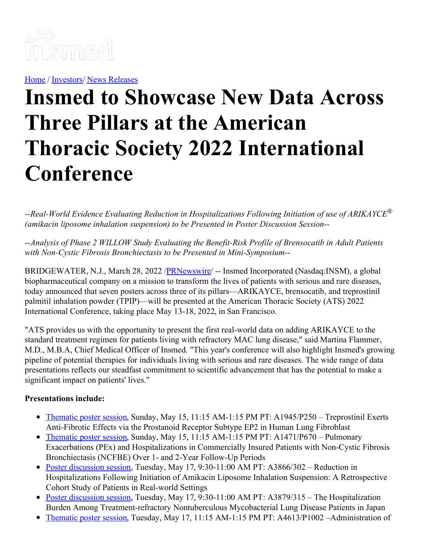

[Home](https://insmed.com/) / [Investors](https://investor.insmed.com/index)/ News [Releases](https://investor.insmed.com/releases)

# **Insmed to Showcase New Data Across Three Pillars at the American Thoracic Society 2022 International Conference**

*--Real-World Evidence Evaluating Reduction in Hospitalizations Following Initiation of use of ARIKAYCE® (amikacin liposome inhalation suspension) to be Presented in Poster Discussion Session--*

*--Analysis of Phase 2 WILLOW Study Evaluating the Benefit-Risk Profile of Brensocatib in Adult Patients with Non-Cystic Fibrosis Bronchiectasis to be Presented in Mini-Symposium--*

BRIDGEWATER, N.J., March 28, 2022 /**PRNewswire/** -- Insmed Incorporated (Nasdaq:INSM), a global biopharmaceutical company on a mission to transform the lives of patients with serious and rare diseases, today announced that seven posters across three of its pillars—ARIKAYCE, brensocatib, and treprostinil palmitil inhalation powder (TPIP)—will be presented at the American Thoracic Society (ATS) 2022 International Conference, taking place May 13-18, 2022, in San Francisco.

"ATS provides us with the opportunity to present the first real-world data on adding ARIKAYCE to the standard treatment regimen for patients living with refractory MAC lung disease," said Martina Flammer, M.D., M.B.A, Chief Medical Officer of Insmed. "This year's conference will also highlight Insmed's growing pipeline of potential therapies for individuals living with serious and rare diseases. The wide range of data presentations reflects our steadfast commitment to scientific advancement that has the potential to make a significant impact on patients' lives."

#### **Presentations include:**

- [Thematic](https://c212.net/c/link/?t=0&l=en&o=3485131-1&h=1774743104&u=https%3A%2F%2Fwww.abstractsonline.com%2Fpp8%2F%23!%2F10476%2Fpresentation%2F4480&a=Thematic+poster+session) poster session, Sunday, May 15, 11:15 AM-1:15 PM PT: A1945/P250 Treprostinil Exerts Anti-Fibrotic Effects via the Prostanoid Receptor Subtype EP2 in Human Lung Fibroblast
- [Thematic](https://c212.net/c/link/?t=0&l=en&o=3485131-1&h=696990933&u=https%3A%2F%2Fwww.abstractsonline.com%2Fpp8%2F%23!%2F10476%2Fpresentation%2F5588&a=Thematic+poster+session) poster session, Sunday, May 15, 11:15 AM-1:15 PM PT: A1471/P670 Pulmonary Exacerbations (PEx) and Hospitalizations in Commercially Insured Patients with Non-Cystic Fibrosis Bronchiectasis (NCFBE) Over 1- and 2-Year Follow-Up Periods
- Poster [discussion](https://c212.net/c/link/?t=0&l=en&o=3485131-1&h=2602965404&u=https%3A%2F%2Fwww.abstractsonline.com%2Fpp8%2F%23!%2F10476%2Fpresentation%2F7893&a=Poster+discussion+session) session, Tuesday, May 17, 9:30-11:00 AM PT: A3866/302 Reduction in Hospitalizations Following Initiation of Amikacin Liposome Inhalation Suspension: A Retrospective Cohort Study of Patients in Real-world Settings
- Poster [discussion](https://c212.net/c/link/?t=0&l=en&o=3485131-1&h=411428789&u=https%3A%2F%2Fwww.abstractsonline.com%2Fpp8%2F%23!%2F10476%2Fpresentation%2F7906&a=Poster+discussion+session) session, Tuesday, May 17, 9:30-11:00 AM PT: A3879/315 The Hospitalization Burden Among Treatment-refractory Nontuberculous Mycobacterial Lung Disease Patients in Japan
- [Thematic](https://c212.net/c/link/?t=0&l=en&o=3485131-1&h=314571432&u=https%3A%2F%2Fwww.abstractsonline.com%2Fpp8%2F%23!%2F10476%2Fpresentation%2F3921&a=Thematic+poster+session) poster session, Tuesday, May 17, 11:15 AM-1:15 PM PT: A4613/P1002 Administration of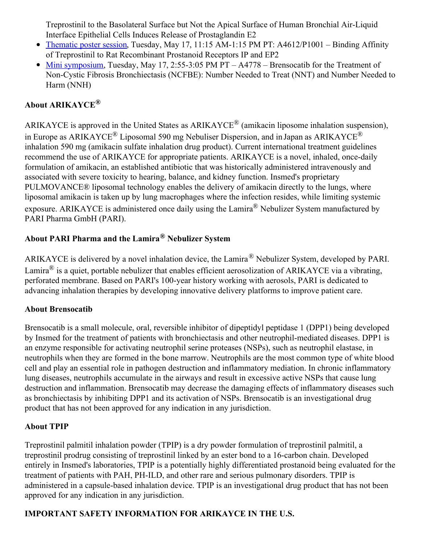Treprostinil to the Basolateral Surface but Not the Apical Surface of Human Bronchial Air-Liquid Interface Epithelial Cells Induces Release of Prostaglandin E2

- [Thematic](https://c212.net/c/link/?t=0&l=en&o=3485131-1&h=4205341193&u=https%3A%2F%2Fwww.abstractsonline.com%2Fpp8%2F%23!%2F10476%2Fpresentation%2F3920&a=Thematic+poster+session) poster session, Tuesday, May 17, 11:15 AM-1:15 PM PT: A4612/P1001 Binding Affinity of Treprostinil to Rat Recombinant Prostanoid Receptors IP and EP2
- Mini [symposium](https://c212.net/c/link/?t=0&l=en&o=3485131-1&h=913838390&u=https%3A%2F%2Fwww.abstractsonline.com%2Fpp8%2F%23!%2F10476%2Fpresentation%2F4619&a=Mini+symposium), Tuesday, May 17, 2:55-3:05 PM PT A4778 Brensocatib for the Treatment of Non-Cystic Fibrosis Bronchiectasis (NCFBE): Number Needed to Treat (NNT) and Number Needed to Harm (NNH)

# **About ARIKAYCE ®**

ARIKAYCE is approved in the United States as ARIKAYCE<sup>®</sup> (amikacin liposome inhalation suspension), in Europe as ARIKAYCE<sup>®</sup> Liposomal 590 mg Nebuliser Dispersion, and in Japan as ARIKAYCE<sup>®</sup> inhalation 590 mg (amikacin sulfate inhalation drug product). Current international treatment guidelines recommend the use of ARIKAYCE for appropriate patients. ARIKAYCE is a novel, inhaled, once-daily formulation of amikacin, an established antibiotic that was historically administered intravenously and associated with severe toxicity to hearing, balance, and kidney function. Insmed's proprietary PULMOVANCE® liposomal technology enables the delivery of amikacin directly to the lungs, where liposomal amikacin is taken up by lung macrophages where the infection resides, while limiting systemic exposure. ARIKAYCE is administered once daily using the Lamira® Nebulizer System manufactured by PARI Pharma GmbH (PARI).

# **About PARI Pharma and the Lamira® Nebulizer System**

ARIKAYCE is delivered by a novel inhalation device, the Lamira® Nebulizer System, developed by PARI. Lamira<sup>®</sup> is a quiet, portable nebulizer that enables efficient aerosolization of ARIKAYCE via a vibrating, perforated membrane. Based on PARI's 100-year history working with aerosols, PARI is dedicated to advancing inhalation therapies by developing innovative delivery platforms to improve patient care.

## **About Brensocatib**

Brensocatib is a small molecule, oral, reversible inhibitor of dipeptidyl peptidase 1 (DPP1) being developed by Insmed for the treatment of patients with bronchiectasis and other neutrophil-mediated diseases. DPP1 is an enzyme responsible for activating neutrophil serine proteases (NSPs), such as neutrophil elastase, in neutrophils when they are formed in the bone marrow. Neutrophils are the most common type of white blood cell and play an essential role in pathogen destruction and inflammatory mediation. In chronic inflammatory lung diseases, neutrophils accumulate in the airways and result in excessive active NSPs that cause lung destruction and inflammation. Brensocatib may decrease the damaging effects of inflammatory diseases such as bronchiectasis by inhibiting DPP1 and its activation of NSPs. Brensocatib is an investigational drug product that has not been approved for any indication in any jurisdiction.

#### **About TPIP**

Treprostinil palmitil inhalation powder (TPIP) is a dry powder formulation of treprostinil palmitil, a treprostinil prodrug consisting of treprostinil linked by an ester bond to a 16-carbon chain. Developed entirely in Insmed's laboratories, TPIP is a potentially highly differentiated prostanoid being evaluated for the treatment of patients with PAH, PH-ILD, and other rare and serious pulmonary disorders. TPIP is administered in a capsule-based inhalation device. TPIP is an investigational drug product that has not been approved for any indication in any jurisdiction.

## **IMPORTANT SAFETY INFORMATION FOR ARIKAYCE IN THE U.S.**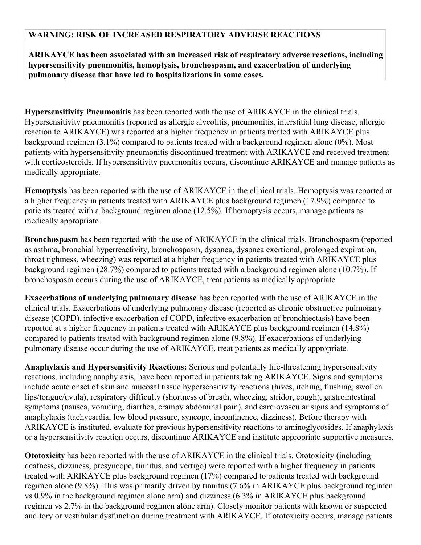#### **WARNING: RISK OF INCREASED RESPIRATORY ADVERSE REACTIONS**

**ARIKAYCE has been associated with an increased risk of respiratory adverse reactions, including hypersensitivity pneumonitis, hemoptysis, bronchospasm, and exacerbation of underlying pulmonary disease that have led to hospitalizations in some cases.**

**Hypersensitivity Pneumonitis** has been reported with the use of ARIKAYCE in the clinical trials. Hypersensitivity pneumonitis (reported as allergic alveolitis, pneumonitis, interstitial lung disease, allergic reaction to ARIKAYCE) was reported at a higher frequency in patients treated with ARIKAYCE plus background regimen (3.1%) compared to patients treated with a background regimen alone (0%). Most patients with hypersensitivity pneumonitis discontinued treatment with ARIKAYCE and received treatment with corticosteroids. If hypersensitivity pneumonitis occurs, discontinue ARIKAYCE and manage patients as medically appropriate*.*

**Hemoptysis** has been reported with the use of ARIKAYCE in the clinical trials. Hemoptysis was reported at a higher frequency in patients treated with ARIKAYCE plus background regimen (17.9%) compared to patients treated with a background regimen alone (12.5%). If hemoptysis occurs, manage patients as medically appropriate*.*

**Bronchospasm** has been reported with the use of ARIKAYCE in the clinical trials. Bronchospasm (reported as asthma, bronchial hyperreactivity, bronchospasm, dyspnea, dyspnea exertional, prolonged expiration, throat tightness, wheezing) was reported at a higher frequency in patients treated with ARIKAYCE plus background regimen (28.7%) compared to patients treated with a background regimen alone (10.7%). If bronchospasm occurs during the use of ARIKAYCE, treat patients as medically appropriate*.*

**Exacerbations of underlying pulmonary disease** has been reported with the use of ARIKAYCE in the clinical trials. Exacerbations of underlying pulmonary disease (reported as chronic obstructive pulmonary disease (COPD), infective exacerbation of COPD, infective exacerbation of bronchiectasis) have been reported at a higher frequency in patients treated with ARIKAYCE plus background regimen (14.8%) compared to patients treated with background regimen alone (9.8%)*.* If exacerbations of underlying pulmonary disease occur during the use of ARIKAYCE, treat patients as medically appropriate*.*

**Anaphylaxis and Hypersensitivity Reactions:** Serious and potentially life-threatening hypersensitivity reactions, including anaphylaxis, have been reported in patients taking ARIKAYCE. Signs and symptoms include acute onset of skin and mucosal tissue hypersensitivity reactions (hives, itching, flushing, swollen lips/tongue/uvula), respiratory difficulty (shortness of breath, wheezing, stridor, cough), gastrointestinal symptoms (nausea, vomiting, diarrhea, crampy abdominal pain), and cardiovascular signs and symptoms of anaphylaxis (tachycardia, low blood pressure, syncope, incontinence, dizziness). Before therapy with ARIKAYCE is instituted, evaluate for previous hypersensitivity reactions to aminoglycosides. If anaphylaxis or a hypersensitivity reaction occurs, discontinue ARIKAYCE and institute appropriate supportive measures.

**Ototoxicity** has been reported with the use of ARIKAYCE in the clinical trials. Ototoxicity (including deafness, dizziness, presyncope, tinnitus, and vertigo) were reported with a higher frequency in patients treated with ARIKAYCE plus background regimen (17%) compared to patients treated with background regimen alone (9.8%). This was primarily driven by tinnitus (7.6% in ARIKAYCE plus background regimen vs 0.9% in the background regimen alone arm) and dizziness (6.3% in ARIKAYCE plus background regimen vs 2.7% in the background regimen alone arm). Closely monitor patients with known or suspected auditory or vestibular dysfunction during treatment with ARIKAYCE. If ototoxicity occurs, manage patients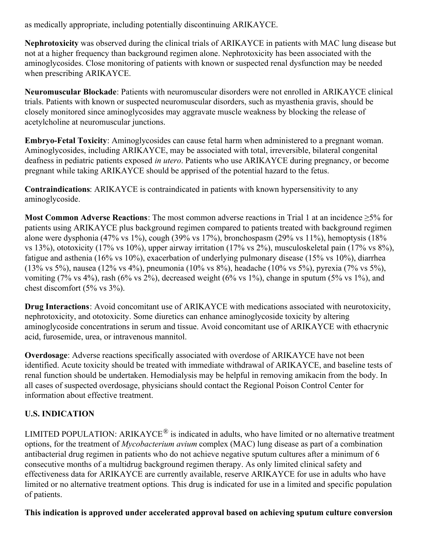as medically appropriate, including potentially discontinuing ARIKAYCE.

**Nephrotoxicity** was observed during the clinical trials of ARIKAYCE in patients with MAC lung disease but not at a higher frequency than background regimen alone. Nephrotoxicity has been associated with the aminoglycosides. Close monitoring of patients with known or suspected renal dysfunction may be needed when prescribing ARIKAYCE.

**Neuromuscular Blockade**: Patients with neuromuscular disorders were not enrolled in ARIKAYCE clinical trials. Patients with known or suspected neuromuscular disorders, such as myasthenia gravis, should be closely monitored since aminoglycosides may aggravate muscle weakness by blocking the release of acetylcholine at neuromuscular junctions.

**Embryo-Fetal Toxicity**: Aminoglycosides can cause fetal harm when administered to a pregnant woman. Aminoglycosides, including ARIKAYCE, may be associated with total, irreversible, bilateral congenital deafness in pediatric patients exposed *in utero*. Patients who use ARIKAYCE during pregnancy, or become pregnant while taking ARIKAYCE should be apprised of the potential hazard to the fetus.

**Contraindications**: ARIKAYCE is contraindicated in patients with known hypersensitivity to any aminoglycoside.

**Most Common Adverse Reactions**: The most common adverse reactions in Trial 1 at an incidence ≥5% for patients using ARIKAYCE plus background regimen compared to patients treated with background regimen alone were dysphonia (47% vs 1%), cough (39% vs 17%), bronchospasm (29% vs 11%), hemoptysis (18% vs 13%), ototoxicity (17% vs 10%), upper airway irritation (17% vs 2%), musculoskeletal pain (17% vs 8%), fatigue and asthenia (16% vs 10%), exacerbation of underlying pulmonary disease (15% vs 10%), diarrhea (13% vs 5%), nausea (12% vs 4%), pneumonia (10% vs 8%), headache (10% vs 5%), pyrexia (7% vs 5%), vomiting (7% vs 4%), rash (6% vs 2%), decreased weight (6% vs 1%), change in sputum (5% vs 1%), and chest discomfort (5% vs 3%).

**Drug Interactions**: Avoid concomitant use of ARIKAYCE with medications associated with neurotoxicity, nephrotoxicity, and ototoxicity. Some diuretics can enhance aminoglycoside toxicity by altering aminoglycoside concentrations in serum and tissue. Avoid concomitant use of ARIKAYCE with ethacrynic acid, furosemide, urea, or intravenous mannitol.

**Overdosage**: Adverse reactions specifically associated with overdose of ARIKAYCE have not been identified. Acute toxicity should be treated with immediate withdrawal of ARIKAYCE, and baseline tests of renal function should be undertaken. Hemodialysis may be helpful in removing amikacin from the body. In all cases of suspected overdosage, physicians should contact the Regional Poison Control Center for information about effective treatment.

## **U.S. INDICATION**

LIMITED POPULATION: ARIKAYCE® is indicated in adults, who have limited or no alternative treatment options, for the treatment of *Mycobacterium avium* complex (MAC) lung disease as part of a combination antibacterial drug regimen in patients who do not achieve negative sputum cultures after a minimum of 6 consecutive months of a multidrug background regimen therapy. As only limited clinical safety and effectiveness data for ARIKAYCE are currently available, reserve ARIKAYCE for use in adults who have limited or no alternative treatment options*.* This drug is indicated for use in a limited and specific population of patients.

**This indication is approved under accelerated approval based on achieving sputum culture conversion**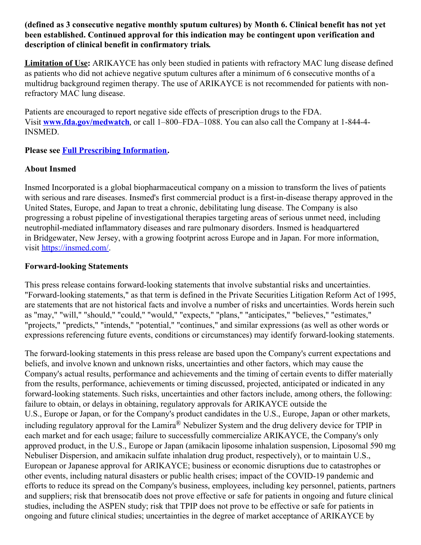#### **(defined as 3 consecutive negative monthly sputum cultures) by Month 6. Clinical benefit has not yet been established. Continued approval for this indication may be contingent upon verification and description of clinical benefit in confirmatory trials***.*

**Limitation of Use:** ARIKAYCE has only been studied in patients with refractory MAC lung disease defined as patients who did not achieve negative sputum cultures after a minimum of 6 consecutive months of a multidrug background regimen therapy. The use of ARIKAYCE is not recommended for patients with nonrefractory MAC lung disease.

Patients are encouraged to report negative side effects of prescription drugs to the FDA. Visit **[www.fda.gov/medwatch](https://c212.net/c/link/?t=0&l=en&o=3485131-1&h=2137014923&u=https%3A%2F%2Fwww.fda.gov%2Fsafety%2Fmedwatch-fda-safety-information-and-adverse-event-reporting-program&a=www.fda.gov%2Fmedwatch)**, or call 1–800–FDA–1088. You can also call the Company at 1-844-4- INSMED.

**Please see Full Prescribing [Information](https://c212.net/c/link/?t=0&l=en&o=3485131-1&h=1195669500&u=https%3A%2F%2Fwww.arikayce.com%2Fpdf%2Ffull_prescribing_information.pdf&a=Full+Prescribing+Information).**

#### **About Insmed**

Insmed Incorporated is a global biopharmaceutical company on a mission to transform the lives of patients with serious and rare diseases. Insmed's first commercial product is a first-in-disease therapy approved in the United States, Europe, and Japan to treat a chronic, debilitating lung disease. The Company is also progressing a robust pipeline of investigational therapies targeting areas of serious unmet need, including neutrophil-mediated inflammatory diseases and rare pulmonary disorders. Insmed is headquartered in Bridgewater, New Jersey, with a growing footprint across Europe and in Japan. For more information, visit [https://insmed.com/](https://c212.net/c/link/?t=0&l=en&o=3485131-1&h=1214000674&u=https%3A%2F%2Finsmed.com%2F&a=https%3A%2F%2Finsmed.com%2F).

#### **Forward-looking Statements**

This press release contains forward-looking statements that involve substantial risks and uncertainties. "Forward-looking statements," as that term is defined in the Private Securities Litigation Reform Act of 1995, are statements that are not historical facts and involve a number of risks and uncertainties. Words herein such as "may," "will," "should," "could," "would," "expects," "plans," "anticipates," "believes," "estimates," "projects," "predicts," "intends," "potential," "continues," and similar expressions (as well as other words or expressions referencing future events, conditions or circumstances) may identify forward-looking statements.

The forward-looking statements in this press release are based upon the Company's current expectations and beliefs, and involve known and unknown risks, uncertainties and other factors, which may cause the Company's actual results, performance and achievements and the timing of certain events to differ materially from the results, performance, achievements or timing discussed, projected, anticipated or indicated in any forward-looking statements. Such risks, uncertainties and other factors include, among others, the following: failure to obtain, or delays in obtaining, regulatory approvals for ARIKAYCE outside the U.S., Europe or Japan, or for the Company's product candidates in the U.S., Europe, Japan or other markets, including regulatory approval for the Lamira® Nebulizer System and the drug delivery device for TPIP in each market and for each usage; failure to successfully commercialize ARIKAYCE, the Company's only approved product, in the U.S., Europe or Japan (amikacin liposome inhalation suspension, Liposomal 590 mg Nebuliser Dispersion, and amikacin sulfate inhalation drug product, respectively), or to maintain U.S., European or Japanese approval for ARIKAYCE; business or economic disruptions due to catastrophes or other events, including natural disasters or public health crises; impact of the COVID-19 pandemic and efforts to reduce its spread on the Company's business, employees, including key personnel, patients, partners and suppliers; risk that brensocatib does not prove effective or safe for patients in ongoing and future clinical studies, including the ASPEN study; risk that TPIP does not prove to be effective or safe for patients in ongoing and future clinical studies; uncertainties in the degree of market acceptance of ARIKAYCE by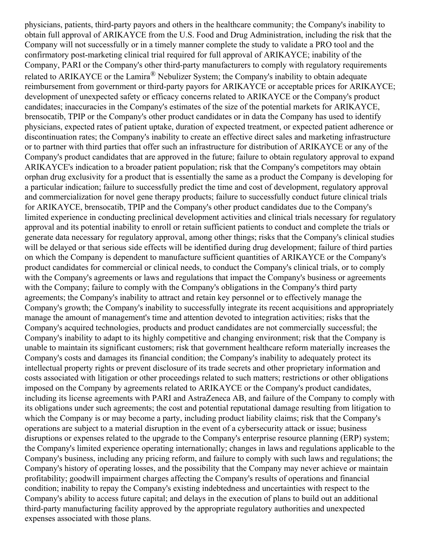physicians, patients, third-party payors and others in the healthcare community; the Company's inability to obtain full approval of ARIKAYCE from the U.S. Food and Drug Administration, including the risk that the Company will not successfully or in a timely manner complete the study to validate a PRO tool and the confirmatory post-marketing clinical trial required for full approval of ARIKAYCE; inability of the Company, PARI or the Company's other third-party manufacturers to comply with regulatory requirements related to ARIKAYCE or the Lamira<sup>®</sup> Nebulizer System; the Company's inability to obtain adequate reimbursement from government or third-party payors for ARIKAYCE or acceptable prices for ARIKAYCE; development of unexpected safety or efficacy concerns related to ARIKAYCE or the Company's product candidates; inaccuracies in the Company's estimates of the size of the potential markets for ARIKAYCE, brensocatib, TPIP or the Company's other product candidates or in data the Company has used to identify physicians, expected rates of patient uptake, duration of expected treatment, or expected patient adherence or discontinuation rates; the Company's inability to create an effective direct sales and marketing infrastructure or to partner with third parties that offer such an infrastructure for distribution of ARIKAYCE or any of the Company's product candidates that are approved in the future; failure to obtain regulatory approval to expand ARIKAYCE's indication to a broader patient population; risk that the Company's competitors may obtain orphan drug exclusivity for a product that is essentially the same as a product the Company is developing for a particular indication; failure to successfully predict the time and cost of development, regulatory approval and commercialization for novel gene therapy products; failure to successfully conduct future clinical trials for ARIKAYCE, brensocatib, TPIP and the Company's other product candidates due to the Company's limited experience in conducting preclinical development activities and clinical trials necessary for regulatory approval and its potential inability to enroll or retain sufficient patients to conduct and complete the trials or generate data necessary for regulatory approval, among other things; risks that the Company's clinical studies will be delayed or that serious side effects will be identified during drug development; failure of third parties on which the Company is dependent to manufacture sufficient quantities of ARIKAYCE or the Company's product candidates for commercial or clinical needs, to conduct the Company's clinical trials, or to comply with the Company's agreements or laws and regulations that impact the Company's business or agreements with the Company; failure to comply with the Company's obligations in the Company's third party agreements; the Company's inability to attract and retain key personnel or to effectively manage the Company's growth; the Company's inability to successfully integrate its recent acquisitions and appropriately manage the amount of management's time and attention devoted to integration activities; risks that the Company's acquired technologies, products and product candidates are not commercially successful; the Company's inability to adapt to its highly competitive and changing environment; risk that the Company is unable to maintain its significant customers; risk that government healthcare reform materially increases the Company's costs and damages its financial condition; the Company's inability to adequately protect its intellectual property rights or prevent disclosure of its trade secrets and other proprietary information and costs associated with litigation or other proceedings related to such matters; restrictions or other obligations imposed on the Company by agreements related to ARIKAYCE or the Company's product candidates, including its license agreements with PARI and AstraZeneca AB, and failure of the Company to comply with its obligations under such agreements; the cost and potential reputational damage resulting from litigation to which the Company is or may become a party, including product liability claims; risk that the Company's operations are subject to a material disruption in the event of a cybersecurity attack or issue; business disruptions or expenses related to the upgrade to the Company's enterprise resource planning (ERP) system; the Company's limited experience operating internationally; changes in laws and regulations applicable to the Company's business, including any pricing reform, and failure to comply with such laws and regulations; the Company's history of operating losses, and the possibility that the Company may never achieve or maintain profitability; goodwill impairment charges affecting the Company's results of operations and financial condition; inability to repay the Company's existing indebtedness and uncertainties with respect to the Company's ability to access future capital; and delays in the execution of plans to build out an additional third-party manufacturing facility approved by the appropriate regulatory authorities and unexpected expenses associated with those plans.